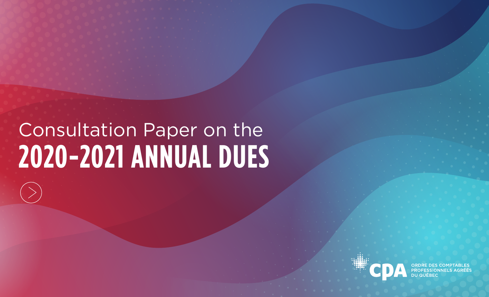## Consultation Paper on the **2020-2021 ANNUAL DUES**

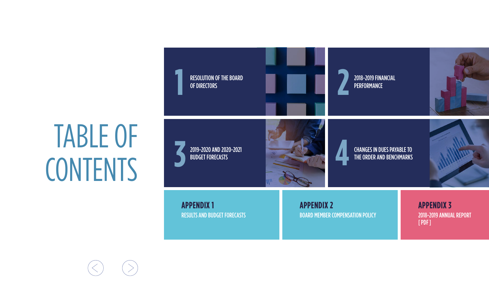## TABLE OF **CONTENTS**

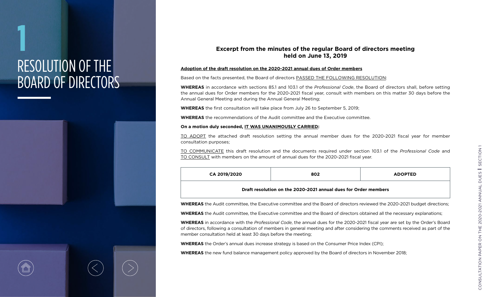## **1** RESOLUTION OF THE BOARD OF DIRECTORS



### **Excerpt from the minutes of the regular Board of directors meeting held on June 13, 2019**

#### **Adoption of the draft resolution on the 2020-2021 annual dues of Order members**

Based on the facts presented, the Board of directors PASSED THE FOLLOWING RESOLUTION:

**WHEREAS** in accordance with sections 85.1 and 103.1 of the *Professional Code*, the Board of directors shall, before setting the annual dues for Order members for the 2020-2021 fiscal year, consult with members on this matter 30 days before the Annual General Meeting and during the Annual General Meeting;

**WHEREAS** the first consultation will take place from July 26 to September 5, 2019;

**WHEREAS** the recommendations of the Audit committee and the Executive committee.

#### **On a motion duly seconded, IT WAS UNANIMOUSLY CARRIED:**

TO ADOPT the attached draft resolution setting the annual member dues for the 2020-2021 fiscal year for member consultation purposes;

TO COMMUNICATE this draft resolution and the documents required under section 103.1 of the *Professional Code* and TO CONSULT with members on the amount of annual dues for the 2020-2021 fiscal year.

| CA 2019/2020                                                    | 802 | <b>ADOPTED</b> |  |
|-----------------------------------------------------------------|-----|----------------|--|
| Draft resolution on the 2020-2021 annual dues for Order members |     |                |  |

**WHEREAS** the Audit committee, the Executive committee and the Board of directors reviewed the 2020-2021 budget directions;

**WHEREAS** the Audit committee, the Executive committee and the Board of directors obtained all the necessary explanations;

**WHEREAS** in accordance with the *Professional Code*, the annual dues for the 2020-2021 fiscal year are set by the Order's Board of directors, following a consultation of members in general meeting and after considering the comments received as part of the member consultation held at least 30 days before the meeting;

**WHEREAS** the Order's annual dues increase strategy is based on the Consumer Price Index (CPI);

**WHEREAS** the new fund balance management policy approved by the Board of directors in November 2018;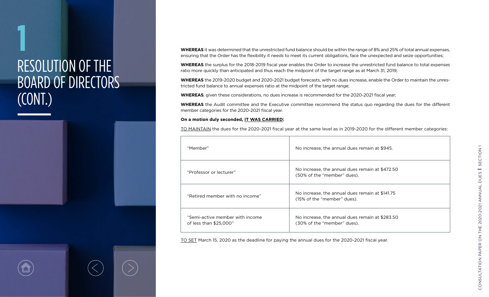## **1** RESOLUTION OF THE BOARD OF DIRECTORS (CONT.)



**WHEREAS** it was determined that the unrestricted fund balance should be within the range of 8% and 25% of total annual expenses, ensuring that the Order has the flexibility it needs to meet its current obligations, face the unexpected and seize opportunities;

**WHEREAS** the surplus for the 2018-2019 fiscal year enables the Order to increase the unrestricted fund balance to total expenses ratio more quickly than anticipated and thus reach the midpoint of the target range as at March 31, 2019;

**WHEREAS** the 2019-2020 budget and 2020-2021 budget forecasts, with no dues increase, enable the Order to maintain the unrestricted fund balance to annual expenses ratio at the midpoint of the target range;

**WHEREAS**, given these considerations, no dues increase is recommended for the 2020-2021 fiscal year;

**WHEREAS** the Audit committee and the Executive committee recommend the status quo regarding the dues for the different member categories for the 2020-2021 fiscal year.

### **On a motion duly seconded, IT WAS CARRIED:**

TO MAINTAIN the dues for the 2020-2021 fiscal year at the same level as in 2019-2020 for the different member categories:

| "Member"                                                  | No increase, the annual dues remain at \$945.                                  |
|-----------------------------------------------------------|--------------------------------------------------------------------------------|
| "Professor or lecturer"                                   | No increase, the annual dues remain at \$472.50<br>(50% of the "member" dues). |
| "Retired member with no income"                           | No increase, the annual dues remain at \$141.75<br>(15% of the "member" dues). |
| "Semi-active member with income<br>of less than \$25,000" | No increase, the annual dues remain at \$283.50<br>(30% of the "member" dues). |

TO SET March 15, 2020 as the deadline for paying the annual dues for the 2020-2021 fiscal year.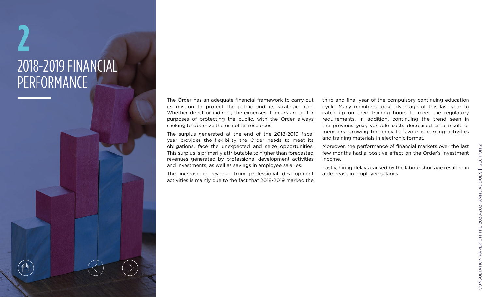## **2** 2018-2019 FINANCIAL PERFORMANCE

Ő

The Order has an adequate financial framework to carry out its mission to protect the public and its strategic plan. Whether direct or indirect, the expenses it incurs are all for purposes of protecting the public, with the Order always seeking to optimize the use of its resources.

The surplus generated at the end of the 2018-2019 fiscal year provides the flexibility the Order needs to meet its obligations, face the unexpected and seize opportunities. This surplus is primarily attributable to higher than forecasted revenues generated by professional development activities and investments, as well as savings in employee salaries.

The increase in revenue from professional development activities is mainly due to the fact that 2018-2019 marked the

third and final year of the compulsory continuing education cycle. Many members took advantage of this last year to catch up on their training hours to meet the regulatory requirements. In addition, continuing the trend seen in the previous year, variable costs decreased as a result of members' growing tendency to favour e-learning activities and training materials in electronic format.

Moreover, the performance of financial markets over the last few months had a positive effect on the Order's investment income.

Lastly, hiring delays caused by the labour shortage resulted in a decrease in employee salaries.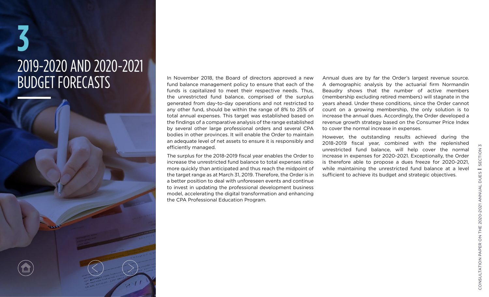# **3** 2019-2020 AND 2020-2021

BUDGET FORECASTS The November 2018, the Board of directors approved a new<br>fund balance management policy to ensure that each of the fund balance management policy to ensure that each of the funds is capitalized to meet their respective needs. Thus, the unrestricted fund balance, comprised of the surplus generated from day-to-day operations and not restricted to any other fund, should be within the range of 8% to 25% of total annual expenses. This target was established based on the findings of a comparative analysis of the range established by several other large professional orders and several CPA bodies in other provinces. It will enable the Order to maintain an adequate level of net assets to ensure it is responsibly and efficiently managed.

> The surplus for the 2018-2019 fiscal year enables the Order to increase the unrestricted fund balance to total expenses ratio more quickly than anticipated and thus reach the midpoint of the target range as at March 31, 2019. Therefore, the Order is in a better position to deal with unforeseen events and continue to invest in updating the professional development business model, accelerating the digital transformation and enhancing the CPA Professional Education Program.

Annual dues are by far the Order's largest revenue source. A demographic analysis by the actuarial firm Normandin Beaudry shows that the number of active members (membership excluding retired members) will stagnate in the years ahead. Under these conditions, since the Order cannot count on a growing membership, the only solution is to increase the annual dues. Accordingly, the Order developed a revenue growth strategy based on the Consumer Price Index to cover the normal increase in expenses.

However, the outstanding results achieved during the 2018-2019 fiscal year, combined with the replenished unrestricted fund balance, will help cover the normal increase in expenses for 2020-2021. Exceptionally, the Order is therefore able to propose a dues freeze for 2020-2021, while maintaining the unrestricted fund balance at a level sufficient to achieve its budget and strategic objectives.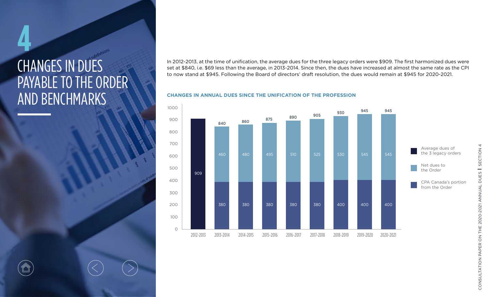## CHANGES IN DUES PAYABLE TO THE ORDER AND BENCHMARKS

In 2012-2013, at the time of unification, the average dues for the three legacy orders were \$909. The first harmonized dues were set at \$840, i.e. \$69 less than the average, in 2013-2014. Since then, the dues have increased at almost the same rate as the CPI to now stand at \$945. Following the Board of directors' draft resolution, the dues would remain at \$945 for 2020-2021.

### **CHANGES IN ANNUAL DUES SINCE THE UNIFICATION OF THE PROFESSION**



CONSULTATION PAPER ON THE 2020-2021 ANNUAL DUES 1 SECTION 4 CONSULTATION PAPER ON THE 2020-2021 ANNUAL DUES Section 4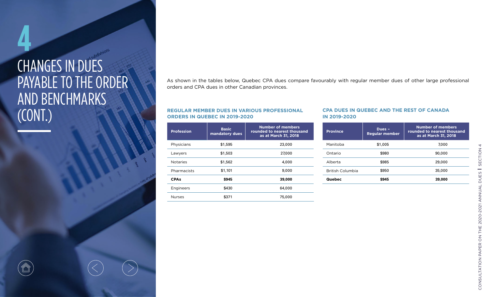## **4** CHANGES IN DUES PAYABLE TO THE ORDER AND BENCHMARKS (CONT.)

As shown in the tables below, Quebec CPA dues compare favourably with regular member dues of other large professional orders and CPA dues in other Canadian provinces.

### **REGULAR MEMBER DUES IN VARIOUS PROFESSIONAL ORDERS IN QUEBEC IN 2019-2020**

| <b>Profession</b> | <b>Basic</b><br>mandatory dues | Number of members<br>rounded to nearest thousand<br>as at March 31, 2018 |
|-------------------|--------------------------------|--------------------------------------------------------------------------|
| Physicians        | \$1,595                        | 23,000                                                                   |
| Lawyers           | \$1,503                        | 27,000                                                                   |
| <b>Notaries</b>   | \$1,562                        | 4,000                                                                    |
| Pharmacists       | \$1,101                        | 9,000                                                                    |
| <b>CPAs</b>       | \$945                          | 39,000                                                                   |
| Engineers         | \$430                          | 64,000                                                                   |
| <b>Nurses</b>     | \$371                          | 75,000                                                                   |

### **CPA DUES IN QUEBEC AND THE REST OF CANADA IN 2019-2020**

| <b>Province</b>         | Dues -<br><b>Regular member</b> | <b>Number of members</b><br>rounded to nearest thousand<br>as at March 31, 2018 |
|-------------------------|---------------------------------|---------------------------------------------------------------------------------|
| Manitoba                | \$1,005                         | 7.000                                                                           |
| Ontario                 | \$980                           | 90,000                                                                          |
| Alberta                 | \$985                           | 29,000                                                                          |
| <b>British Columbia</b> | \$950                           | 35,000                                                                          |
| Quebec                  | \$945                           | 39,000                                                                          |



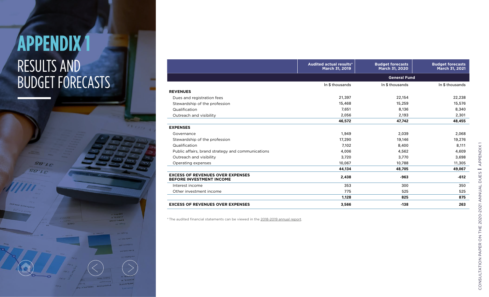### **APPENDIX 1** RESULTS AND BUDGET FORECASTS

**WEFOAEE** 

**SB'LE** 

|                                                                            | March 31, 2019  | March 31, 2020      | March 31, 2021  |  |
|----------------------------------------------------------------------------|-----------------|---------------------|-----------------|--|
|                                                                            |                 | <b>General Fund</b> |                 |  |
|                                                                            | In \$ thousands | In \$ thousands     | In \$ thousands |  |
| <b>REVENUES</b>                                                            |                 |                     |                 |  |
| Dues and registration fees                                                 | 21,397          | 22,154              | 22,238          |  |
| Stewardship of the profession                                              | 15,468          | 15,259              | 15,576          |  |
| Qualification                                                              | 7,651           | 8,136               | 8,340           |  |
| Outreach and visibility                                                    | 2,056           | 2,193               | 2,301           |  |
|                                                                            | 46,572          | 47,742              | 48,455          |  |
| <b>EXPENSES</b>                                                            |                 |                     |                 |  |
| Governance                                                                 | 1,949           | 2,039               | 2,068           |  |
| Stewardship of the profession                                              | 17,290          | 19,146              | 19,276          |  |
| Qualification                                                              | 7,102           | 8,400               | 8,111           |  |
| Public affairs, brand strategy and communications                          | 4,006           | 4,562               | 4,609           |  |
| Outreach and visibility                                                    | 3,720           | 3,770               | 3,698           |  |
| Operating expenses                                                         | 10,067          | 10,788              | 11,305          |  |
|                                                                            | 44,134          | 48,705              | 49,067          |  |
| <b>EXCESS OF REVENUES OVER EXPENSES</b><br><b>BEFORE INVESTMENT INCOME</b> | 2,438           | $-963$              | $-612$          |  |
| Interest income                                                            | 353             | 300                 | 350             |  |
| Other investment income                                                    | 775             | 525                 | 525             |  |
|                                                                            | 1,128           | 825                 | 875             |  |
| <b>EXCESS OF REVENUES OVER EXPENSES</b>                                    | 3,566           | $-138$              | 263             |  |

**Audited actual results\*** 

**Budget forecasts** 

**Budget forecasts** 

\* The audited financial statements can be viewed in the [2018-2019 annual report](https://cpaquebec.ca/-/media/docs/lordre/a-propos/gouvernance/aga/rapport-annuel-2018-2019_en.pdf ) .